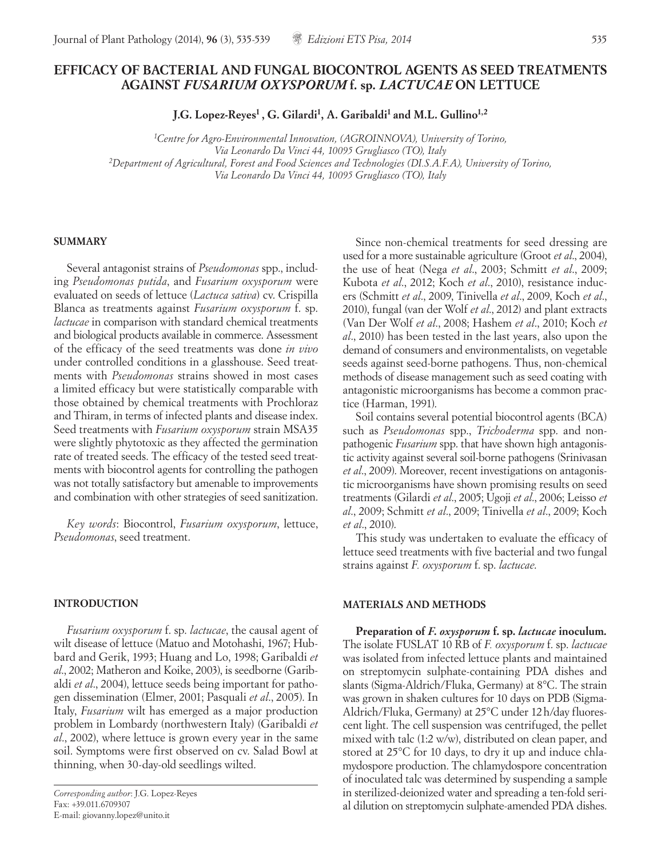# **EFFICACY OF BACTERIAL AND FUNGAL BIOCONTROL AGENTS AS SEED TREATMENTS AGAINST** *FUSARIUM OXYSPORUM* **f. sp.** *LACTUCAE* **ON LETTUCE**

**J.G. Lopez-Reyes1 , G. Gilardi1, A. Garibaldi1 and M.L. Gullino1,2**

*1Centre for Agro-Environmental Innovation, (AGROINNOVA), University of Torino, Via Leonardo Da Vinci 44, 10095 Grugliasco (TO), Italy 2Department of Agricultural, Forest and Food Sciences and Technologies (DI.S.A.F.A), University of Torino, Via Leonardo Da Vinci 44, 10095 Grugliasco (TO), Italy*

#### **SUMMARY**

Several antagonist strains of *Pseudomonas* spp., including *Pseudomonas putida*, and *Fusarium oxysporum* were evaluated on seeds of lettuce (*Lactuca sativa*) cv. Crispilla Blanca as treatments against *Fusarium oxysporum* f. sp. *lactucae* in comparison with standard chemical treatments and biological products available in commerce. Assessment of the efficacy of the seed treatments was done *in vivo* under controlled conditions in a glasshouse. Seed treatments with *Pseudomonas* strains showed in most cases a limited efficacy but were statistically comparable with those obtained by chemical treatments with Prochloraz and Thiram, in terms of infected plants and disease index. Seed treatments with *Fusarium oxysporum* strain MSA35 were slightly phytotoxic as they affected the germination rate of treated seeds. The efficacy of the tested seed treatments with biocontrol agents for controlling the pathogen was not totally satisfactory but amenable to improvements and combination with other strategies of seed sanitization.

*Key words*: Biocontrol, *Fusarium oxysporum*, lettuce, *Pseudomonas*, seed treatment.

#### **INTRODUCTION**

*Fusarium oxysporum* f. sp. *lactucae*, the causal agent of wilt disease of lettuce (Matuo and Motohashi, 1967; Hubbard and Gerik, 1993; Huang and Lo, 1998; Garibaldi *et al*., 2002; Matheron and Koike, 2003), is seedborne (Garibaldi *et al*., 2004), lettuce seeds being important for pathogen dissemination (Elmer, 2001; Pasquali *et al*., 2005). In Italy, *Fusarium* wilt has emerged as a major production problem in Lombardy (northwestern Italy) (Garibaldi *et al*., 2002), where lettuce is grown every year in the same soil. Symptoms were first observed on cv. Salad Bowl at thinning, when 30-day-old seedlings wilted.

Since non-chemical treatments for seed dressing are used for a more sustainable agriculture (Groot *et al*., 2004), the use of heat (Nega *et al*., 2003; Schmitt *et al*., 2009; Kubota *et al*., 2012; Koch *et al*., 2010), resistance inducers (Schmitt *et al*., 2009, Tinivella *et al*., 2009, Koch *et al*., 2010), fungal (van der Wolf *et al*., 2012) and plant extracts (Van Der Wolf *et al*., 2008; Hashem *et al*., 2010; Koch *et al*., 2010) has been tested in the last years, also upon the demand of consumers and environmentalists, on vegetable seeds against seed-borne pathogens. Thus, non-chemical methods of disease management such as seed coating with antagonistic microorganisms has become a common practice (Harman, 1991).

Soil contains several potential biocontrol agents (BCA) such as *Pseudomonas* spp., *Trichoderma* spp. and nonpathogenic *Fusarium* spp. that have shown high antagonistic activity against several soil-borne pathogens (Srinivasan *et al*., 2009). Moreover, recent investigations on antagonistic microorganisms have shown promising results on seed treatments (Gilardi *et al*., 2005; Ugoji *et al*., 2006; Leisso *et al*., 2009; Schmitt *et al*., 2009; Tinivella *et al*., 2009; Koch *et al*., 2010).

This study was undertaken to evaluate the efficacy of lettuce seed treatments with five bacterial and two fungal strains against *F. oxysporum* f. sp. *lactucae*.

### **MATERIALS AND METHODS**

**Preparation of** *F. oxysporum* **f. sp.** *lactucae* **inoculum***.* The isolate FUSLAT 10 RB of *F. oxysporum* f. sp. *lactucae* was isolated from infected lettuce plants and maintained on streptomycin sulphate-containing PDA dishes and slants (Sigma-Aldrich/Fluka, Germany) at 8°C. The strain was grown in shaken cultures for 10 days on PDB (Sigma-Aldrich/Fluka, Germany) at 25°C under 12h/day fluorescent light. The cell suspension was centrifuged, the pellet mixed with talc (1:2 w/w), distributed on clean paper, and stored at 25°C for 10 days, to dry it up and induce chlamydospore production. The chlamydospore concentration of inoculated talc was determined by suspending a sample in sterilized-deionized water and spreading a ten-fold serial dilution on streptomycin sulphate-amended PDA dishes.

*Corresponding author*: J.G. Lopez-Reyes Fax: +39.011.6709307 E-mail: giovanny.lopez@unito.it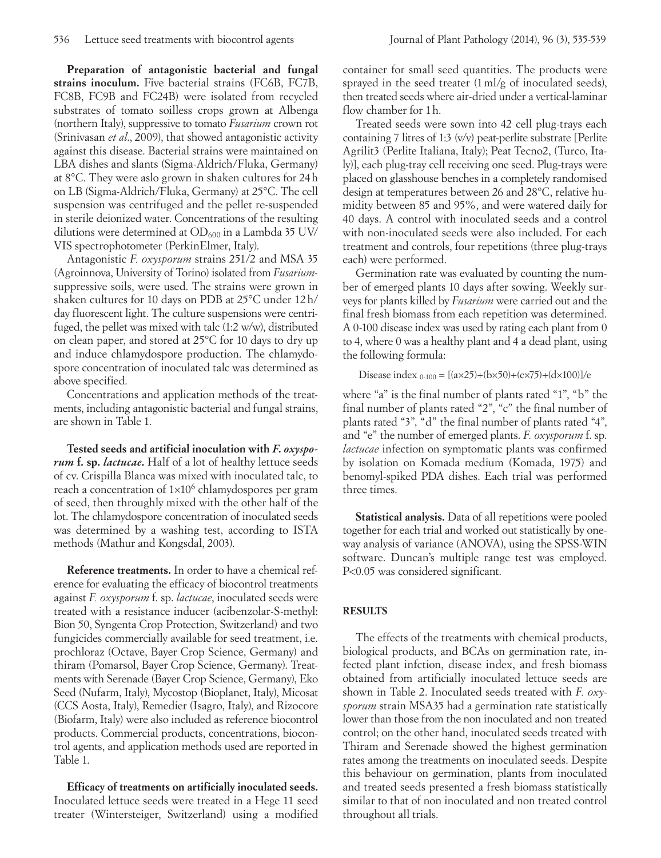**Preparation of antagonistic bacterial and fungal strains inoculum.** Five bacterial strains (FC6B, FC7B, FC8B, FC9B and FC24B) were isolated from recycled substrates of tomato soilless crops grown at Albenga (northern Italy), suppressive to tomato *Fusarium* crown rot (Srinivasan *et al*., 2009), that showed antagonistic activity against this disease. Bacterial strains were maintained on LBA dishes and slants (Sigma-Aldrich/Fluka, Germany) at 8°C. They were aslo grown in shaken cultures for 24h on LB (Sigma-Aldrich/Fluka, Germany) at 25°C. The cell suspension was centrifuged and the pellet re-suspended in sterile deionized water. Concentrations of the resulting dilutions were determined at  $OD_{600}$  in a Lambda 35 UV/ VIS spectrophotometer (PerkinElmer, Italy).

Antagonistic *F. oxysporum* strains 251/2 and MSA 35 (Agroinnova, University of Torino) isolated from *Fusarium*suppressive soils, were used. The strains were grown in shaken cultures for 10 days on PDB at 25°C under 12h/ day fluorescent light. The culture suspensions were centrifuged, the pellet was mixed with talc (1:2 w/w), distributed on clean paper, and stored at 25°C for 10 days to dry up and induce chlamydospore production. The chlamydospore concentration of inoculated talc was determined as above specified.

Concentrations and application methods of the treatments, including antagonistic bacterial and fungal strains, are shown in Table 1.

**Tested seeds and artificial inoculation with** *F. oxysporum* **f. sp.** *lactucae***.** Half of a lot of healthy lettuce seeds of cv. Crispilla Blanca was mixed with inoculated talc, to reach a concentration of  $1\times10^6$  chlamydospores per gram of seed, then throughly mixed with the other half of the lot. The chlamydospore concentration of inoculated seeds was determined by a washing test, according to ISTA methods (Mathur and Kongsdal, 2003).

**Reference treatments.** In order to have a chemical reference for evaluating the efficacy of biocontrol treatments against *F. oxysporum* f. sp. *lactucae*, inoculated seeds were treated with a resistance inducer (acibenzolar-S-methyl: Bion 50, Syngenta Crop Protection, Switzerland) and two fungicides commercially available for seed treatment, i.e. prochloraz (Octave, Bayer Crop Science, Germany) and thiram (Pomarsol, Bayer Crop Science, Germany). Treatments with Serenade (Bayer Crop Science, Germany), Eko Seed (Nufarm, Italy), Mycostop (Bioplanet, Italy), Micosat (CCS Aosta, Italy), Remedier (Isagro, Italy), and Rizocore (Biofarm, Italy) were also included as reference biocontrol products. Commercial products, concentrations, biocontrol agents, and application methods used are reported in Table 1.

**Efficacy of treatments on artificially inoculated seeds.**  Inoculated lettuce seeds were treated in a Hege 11 seed treater (Wintersteiger, Switzerland) using a modified

container for small seed quantities. The products were sprayed in the seed treater (1ml/g of inoculated seeds), then treated seeds where air-dried under a vertical-laminar flow chamber for 1h.

Treated seeds were sown into 42 cell plug-trays each containing 7 litres of 1:3 (v/v) peat-perlite substrate [Perlite Agrilit3 (Perlite Italiana, Italy); Peat Tecno2, (Turco, Italy)], each plug-tray cell receiving one seed. Plug-trays were placed on glasshouse benches in a completely randomised design at temperatures between 26 and 28°C, relative humidity between 85 and 95%, and were watered daily for 40 days. A control with inoculated seeds and a control with non-inoculated seeds were also included. For each treatment and controls, four repetitions (three plug-trays each) were performed.

Germination rate was evaluated by counting the number of emerged plants 10 days after sowing. Weekly surveys for plants killed by *Fusarium* were carried out and the final fresh biomass from each repetition was determined. A 0-100 disease index was used by rating each plant from 0 to 4, where 0 was a healthy plant and 4 a dead plant, using the following formula:

```
Disease index _{0.100} = [(a \times 25)+(b \times 50)+(c \times 75)+(d \times 100)]/e
```
where "a" is the final number of plants rated "1", "b" the final number of plants rated "2", "c" the final number of plants rated "3", "d" the final number of plants rated "4", and "e" the number of emerged plants. *F. oxysporum* f. sp. *lactucae* infection on symptomatic plants was confirmed by isolation on Komada medium (Komada, 1975) and benomyl-spiked PDA dishes. Each trial was performed three times.

**Statistical analysis.** Data of all repetitions were pooled together for each trial and worked out statistically by oneway analysis of variance (ANOVA), using the SPSS-WIN software. Duncan's multiple range test was employed. P<0.05 was considered significant.

# **RESULTS**

The effects of the treatments with chemical products, biological products, and BCAs on germination rate, infected plant infction, disease index, and fresh biomass obtained from artificially inoculated lettuce seeds are shown in Table 2. Inoculated seeds treated with *F. oxysporum* strain MSA35 had a germination rate statistically lower than those from the non inoculated and non treated control; on the other hand, inoculated seeds treated with Thiram and Serenade showed the highest germination rates among the treatments on inoculated seeds. Despite this behaviour on germination, plants from inoculated and treated seeds presented a fresh biomass statistically similar to that of non inoculated and non treated control throughout all trials.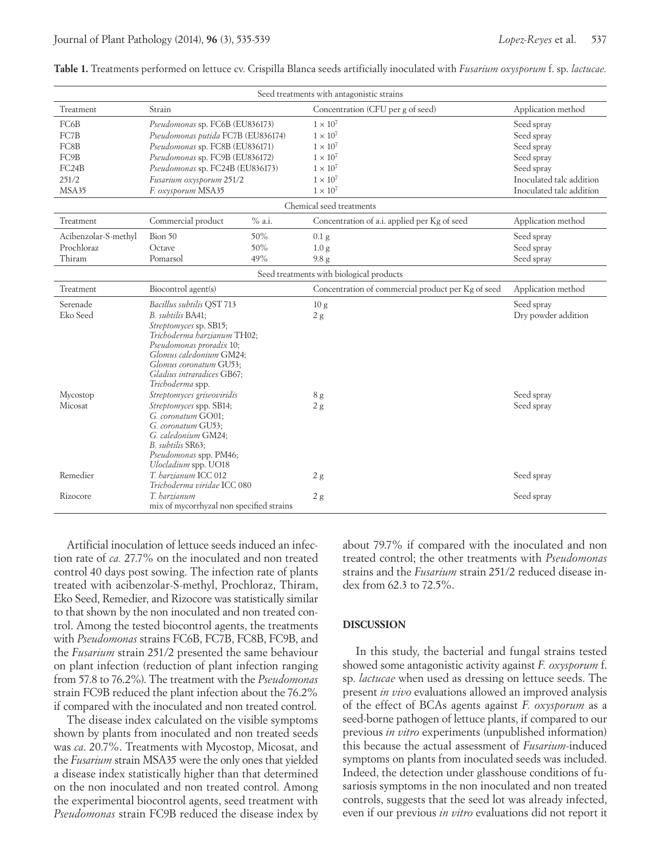| Seed treatments with antagonistic strains |                                                       |        |                                                    |                          |  |  |  |  |
|-------------------------------------------|-------------------------------------------------------|--------|----------------------------------------------------|--------------------------|--|--|--|--|
| Treatment                                 | Strain                                                |        | Concentration (CFU per g of seed)                  | Application method       |  |  |  |  |
| FC6B                                      | Pseudomonas sp. FC6B (EU836173)                       |        | $1 \times 10^7$                                    | Seed spray               |  |  |  |  |
| FC7B                                      | Pseudomonas putida FC7B (EU836174)                    |        | $1 \times 10^7$                                    | Seed spray               |  |  |  |  |
| FC8B                                      | Pseudomonas sp. FC8B (EU836171)                       |        | $1 \times 10^7$                                    | Seed spray               |  |  |  |  |
| FC9B                                      | Pseudomonas sp. FC9B (EU836172)                       |        | $1 \times 10^7$                                    | Seed spray               |  |  |  |  |
| FC24B                                     | Pseudomonas sp. FC24B (EU836173)                      |        | $1 \times 10^7$                                    | Seed spray               |  |  |  |  |
| 251/2                                     | Fusarium oxysporum 251/2                              |        | $1 \times 10^7$                                    | Inoculated talc addition |  |  |  |  |
| MSA35                                     | F. oxysporum MSA35                                    |        | $1 \times 10^7$                                    | Inoculated talc addition |  |  |  |  |
| Chemical seed treatments                  |                                                       |        |                                                    |                          |  |  |  |  |
| Treatment                                 | Commercial product                                    | % a.i. | Concentration of a.i. applied per Kg of seed       | Application method       |  |  |  |  |
| Acibenzolar-S-methyl                      | Bion 50                                               | 50%    | $0.1$ g                                            | Seed spray               |  |  |  |  |
| Prochloraz                                | Octave                                                | 50%    | 1.0 <sub>g</sub>                                   | Seed spray               |  |  |  |  |
| Thiram                                    | Pomarsol                                              | 49%    | 9.8 <sub>g</sub>                                   | Seed spray               |  |  |  |  |
| Seed treatments with biological products  |                                                       |        |                                                    |                          |  |  |  |  |
| Treatment                                 | Biocontrol agent(s)                                   |        | Concentration of commercial product per Kg of seed | Application method       |  |  |  |  |
| Serenade                                  | Bacillus subtilis QST 713                             |        | 10 <sub>g</sub>                                    | Seed spray               |  |  |  |  |
| Eko Seed                                  | B. subtilis BA41;                                     |        | 2g                                                 | Dry powder addition      |  |  |  |  |
|                                           | Streptomyces sp. SB15;<br>Trichoderma harzianum TH02; |        |                                                    |                          |  |  |  |  |
|                                           | Pseudomonas proradix 10;                              |        |                                                    |                          |  |  |  |  |
|                                           | Glomus caledonium GM24;                               |        |                                                    |                          |  |  |  |  |
|                                           | Glomus coronatum GU53;                                |        |                                                    |                          |  |  |  |  |
|                                           | Gladius intraradices GB67;                            |        |                                                    |                          |  |  |  |  |
|                                           | Trichoderma spp.                                      |        |                                                    |                          |  |  |  |  |
| Mycostop                                  | Streptomyces griseoviridis                            |        | 8g                                                 | Seed spray               |  |  |  |  |
| Micosat                                   | Streptomyces spp. SB14;                               |        | 2g                                                 | Seed spray               |  |  |  |  |
|                                           | G. coronatum GO01;<br>G. coronatum GU53;              |        |                                                    |                          |  |  |  |  |
|                                           | G. caledonium GM24;                                   |        |                                                    |                          |  |  |  |  |
|                                           | B. subtilis SR63:                                     |        |                                                    |                          |  |  |  |  |
|                                           | Pseudomonas spp. PM46;                                |        |                                                    |                          |  |  |  |  |
|                                           | Ulocladium spp. UO18                                  |        |                                                    |                          |  |  |  |  |
| Remedier                                  | T. harzianum ICC 012<br>Trichoderma viridae ICC 080   |        | 2g                                                 | Seed spray               |  |  |  |  |
| Rizocore                                  | T. harzianum                                          |        |                                                    | Seed spray               |  |  |  |  |
|                                           | mix of mycorrhyzal non specified strains              |        | 2g                                                 |                          |  |  |  |  |
|                                           |                                                       |        |                                                    |                          |  |  |  |  |

**Table 1.** Treatments performed on lettuce cv. Crispilla Blanca seeds artificially inoculated with *Fusarium oxysporum* f. sp. *lactucae*.

Artificial inoculation of lettuce seeds induced an infection rate of *ca.* 27.7% on the inoculated and non treated control 40 days post sowing. The infection rate of plants treated with acibenzolar-S-methyl, Prochloraz, Thiram, Eko Seed, Remedier, and Rizocore was statistically similar to that shown by the non inoculated and non treated control. Among the tested biocontrol agents, the treatments with *Pseudomonas* strains FC6B, FC7B, FC8B, FC9B, and the *Fusarium* strain 251/2 presented the same behaviour on plant infection (reduction of plant infection ranging from 57.8 to 76.2%). The treatment with the *Pseudomonas* strain FC9B reduced the plant infection about the 76.2% if compared with the inoculated and non treated control.

The disease index calculated on the visible symptoms shown by plants from inoculated and non treated seeds was *ca*. 20.7%. Treatments with Mycostop, Micosat, and the *Fusarium* strain MSA35 were the only ones that yielded a disease index statistically higher than that determined on the non inoculated and non treated control. Among the experimental biocontrol agents, seed treatment with *Pseudomonas* strain FC9B reduced the disease index by

about 79.7% if compared with the inoculated and non treated control; the other treatments with *Pseudomonas* strains and the *Fusarium* strain 251/2 reduced disease index from 62.3 to 72.5%.

### **DISCUSSION**

In this study, the bacterial and fungal strains tested showed some antagonistic activity against *F. oxysporum* f. sp. *lactucae* when used as dressing on lettuce seeds. The present *in vivo* evaluations allowed an improved analysis of the effect of BCAs agents against *F. oxysporum* as a seed-borne pathogen of lettuce plants, if compared to our previous *in vitro* experiments (unpublished information) this because the actual assessment of *Fusarium*-induced symptoms on plants from inoculated seeds was included. Indeed, the detection under glasshouse conditions of fusariosis symptoms in the non inoculated and non treated controls, suggests that the seed lot was already infected, even if our previous *in vitro* evaluations did not report it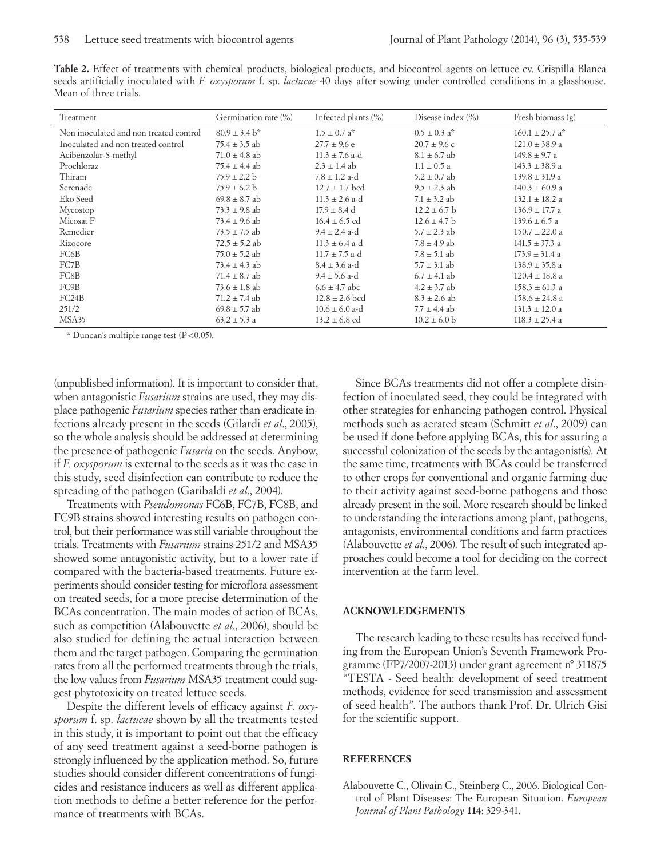**Table 2.** Effect of treatments with chemical products, biological products, and biocontrol agents on lettuce cv. Crispilla Blanca seeds artificially inoculated with *F. oxysporum* f. sp. *lactucae* 40 days after sowing under controlled conditions in a glasshouse. Mean of three trials.

| Treatment                              | Germination rate (%) | Infected plants $(\%)$       | Disease index (%)            | Fresh biomass $(g)$             |
|----------------------------------------|----------------------|------------------------------|------------------------------|---------------------------------|
| Non inoculated and non treated control | $80.9 \pm 3.4$ b*    | $1.5 \pm 0.7$ a <sup>*</sup> | $0.5 \pm 0.3$ a <sup>*</sup> | $160.1 \pm 25.7$ a <sup>*</sup> |
| Inoculated and non treated control     | $75.4 \pm 3.5$ ab    | $27.7 \pm 9.6$ e             | $20.7 \pm 9.6$ c             | $121.0 \pm 38.9$ a              |
| Acibenzolar-S-methyl                   | $71.0 \pm 4.8$ ab    | $11.3 \pm 7.6$ a-d           | $8.1 \pm 6.7$ ab             | $149.8 \pm 9.7$ a               |
| Prochloraz                             | 75.4 $\pm$ 4.4 ab    | $2.3 \pm 1.4$ ab             | $1.1 \pm 0.5 a$              | $143.3 \pm 38.9$ a              |
| Thiram                                 | $75.9 \pm 2.2 b$     | $7.8 \pm 1.2$ a-d            | $5.2 \pm 0.7$ ab             | $139.8 \pm 31.9$ a              |
| Serenade                               | $75.9 \pm 6.2 b$     | $12.7 \pm 1.7$ bcd           | $9.5 \pm 2.3$ ab             | $140.3 \pm 60.9$ a              |
| Eko Seed                               | $69.8 \pm 8.7$ ab    | $11.3 \pm 2.6$ a-d           | $7.1 \pm 3.2$ ab             | $132.1 \pm 18.2$ a              |
| Mycostop                               | $73.3 \pm 9.8$ ab    | $17.9 \pm 8.4$ d             | $12.2 \pm 6.7$ b             | $136.9 \pm 17.7$ a              |
| Micosat F                              | $73.4 \pm 9.6$ ab    | $16.4 \pm 6.5$ cd            | $12.6 \pm 4.7$ b             | $139.6 \pm 6.5$ a               |
| Remedier                               | $73.5 \pm 7.5$ ab    | $9.4 \pm 2.4$ a-d            | $5.7 \pm 2.3$ ab             | $150.7 \pm 22.0$ a              |
| Rizocore                               | $72.5 \pm 5.2$ ab    | $11.3 \pm 6.4$ a-d           | $7.8 \pm 4.9$ ab             | $141.5 \pm 37.3$ a              |
| FC6B                                   | $75.0 \pm 5.2$ ab    | $11.7 \pm 7.5$ a-d           | $7.8 \pm 5.1$ ab             | $173.9 \pm 31.4$ a              |
| FC7B                                   | 73.4 $\pm$ 4.3 ab    | $8.4 \pm 3.6$ a-d            | $5.7 \pm 3.1$ ab             | $138.9 \pm 35.8$ a              |
| FC8B                                   | $71.4 \pm 8.7$ ab    | $9.4 \pm 5.6$ a-d            | $6.7 \pm 4.1$ ab             | $120.4 \pm 18.8$ a              |
| FC9B                                   | $73.6 \pm 1.8$ ab    | $6.6 \pm 4.7$ abc            | $4.2 \pm 3.7$ ab             | $158.3 \pm 61.3$ a              |
| FC24B                                  | $71.2 \pm 7.4$ ab    | $12.8 \pm 2.6$ bcd           | $8.3 \pm 2.6$ ab             | $158.6 \pm 24.8$ a              |
| 251/2                                  | $69.8 \pm 5.7$ ab    | $10.6 \pm 6.0$ a-d           | $7.7 \pm 4.4$ ab             | $131.3 \pm 12.0 a$              |
| MSA35                                  | $63.2 \pm 5.3$ a     | $13.2 \pm 6.8$ cd            | $10.2 \pm 6.0$ b             | $118.3 \pm 25.4$ a              |

 $*$  Duncan's multiple range test (P < 0.05).

(unpublished information). It is important to consider that, when antagonistic *Fusarium* strains are used, they may displace pathogenic *Fusarium* species rather than eradicate infections already present in the seeds (Gilardi *et al*., 2005), so the whole analysis should be addressed at determining the presence of pathogenic *Fusaria* on the seeds. Anyhow, if *F. oxysporum* is external to the seeds as it was the case in this study, seed disinfection can contribute to reduce the spreading of the pathogen (Garibaldi *et al*., 2004).

Treatments with *Pseudomonas* FC6B, FC7B, FC8B, and FC9B strains showed interesting results on pathogen control, but their performance was still variable throughout the trials. Treatments with *Fusarium* strains 251/2 and MSA35 showed some antagonistic activity, but to a lower rate if compared with the bacteria-based treatments. Future experiments should consider testing for microflora assessment on treated seeds, for a more precise determination of the BCAs concentration. The main modes of action of BCAs, such as competition (Alabouvette *et al*., 2006), should be also studied for defining the actual interaction between them and the target pathogen. Comparing the germination rates from all the performed treatments through the trials, the low values from *Fusarium* MSA35 treatment could suggest phytotoxicity on treated lettuce seeds.

Despite the different levels of efficacy against *F. oxysporum* f. sp. *lactucae* shown by all the treatments tested in this study, it is important to point out that the efficacy of any seed treatment against a seed-borne pathogen is strongly influenced by the application method. So, future studies should consider different concentrations of fungicides and resistance inducers as well as different application methods to define a better reference for the performance of treatments with BCAs.

Since BCAs treatments did not offer a complete disinfection of inoculated seed, they could be integrated with other strategies for enhancing pathogen control. Physical methods such as aerated steam (Schmitt *et al*., 2009) can be used if done before applying BCAs, this for assuring a successful colonization of the seeds by the antagonist(s). At the same time, treatments with BCAs could be transferred to other crops for conventional and organic farming due to their activity against seed-borne pathogens and those already present in the soil. More research should be linked to understanding the interactions among plant, pathogens, antagonists, environmental conditions and farm practices (Alabouvette *et al*., 2006). The result of such integrated approaches could become a tool for deciding on the correct intervention at the farm level.

# **ACKNOWLEDGEMENTS**

The research leading to these results has received funding from the European Union's Seventh Framework Programme (FP7/2007-2013) under grant agreement n° 311875 "TESTA - Seed health: development of seed treatment methods, evidence for seed transmission and assessment of seed health". The authors thank Prof. Dr. Ulrich Gisi for the scientific support.

### **REFERENCES**

Alabouvette C., Olivain C., Steinberg C., 2006. Biological Control of Plant Diseases: The European Situation. *European Journal of Plant Pathology* **114**: 329-341.